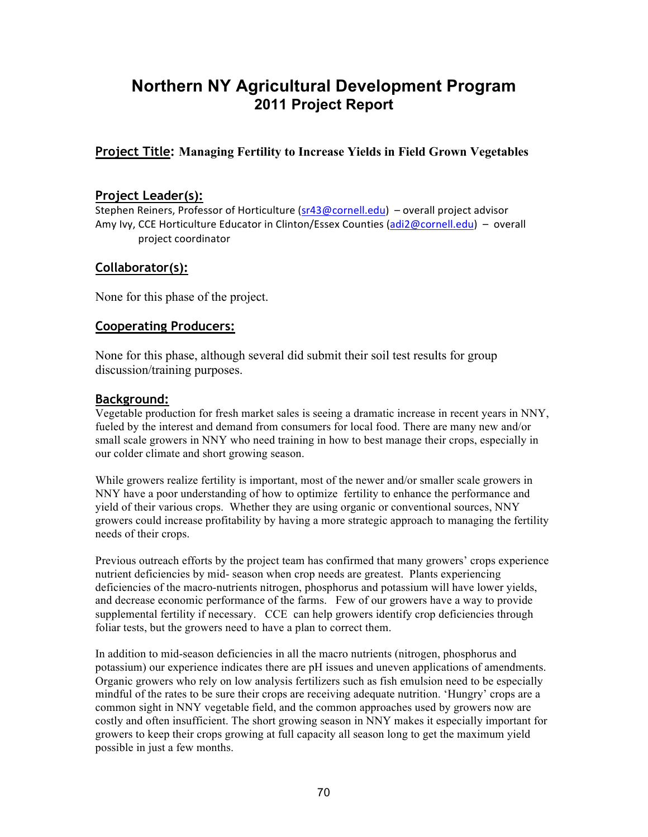# **Northern NY Agricultural Development Program 2011 Project Report**

# **Project Title: Managing Fertility to Increase Yields in Field Grown Vegetables**

## **Project Leader(s):**

Stephen Reiners, Professor of Horticulture (sr43@cornell.edu) – overall project advisor Amy Ivy, CCE Horticulture Educator in Clinton/Essex Counties (adi2@cornell.edu) – overall project coordinator

## **Collaborator(s):**

None for this phase of the project.

## **Cooperating Producers:**

None for this phase, although several did submit their soil test results for group discussion/training purposes.

#### **Background:**

Vegetable production for fresh market sales is seeing a dramatic increase in recent years in NNY, fueled by the interest and demand from consumers for local food. There are many new and/or small scale growers in NNY who need training in how to best manage their crops, especially in our colder climate and short growing season.

While growers realize fertility is important, most of the newer and/or smaller scale growers in NNY have a poor understanding of how to optimize fertility to enhance the performance and yield of their various crops. Whether they are using organic or conventional sources, NNY growers could increase profitability by having a more strategic approach to managing the fertility needs of their crops.

Previous outreach efforts by the project team has confirmed that many growers' crops experience nutrient deficiencies by mid- season when crop needs are greatest. Plants experiencing deficiencies of the macro-nutrients nitrogen, phosphorus and potassium will have lower yields, and decrease economic performance of the farms. Few of our growers have a way to provide supplemental fertility if necessary. CCE can help growers identify crop deficiencies through foliar tests, but the growers need to have a plan to correct them.

In addition to mid-season deficiencies in all the macro nutrients (nitrogen, phosphorus and potassium) our experience indicates there are pH issues and uneven applications of amendments. Organic growers who rely on low analysis fertilizers such as fish emulsion need to be especially mindful of the rates to be sure their crops are receiving adequate nutrition. 'Hungry' crops are a common sight in NNY vegetable field, and the common approaches used by growers now are costly and often insufficient. The short growing season in NNY makes it especially important for growers to keep their crops growing at full capacity all season long to get the maximum yield possible in just a few months.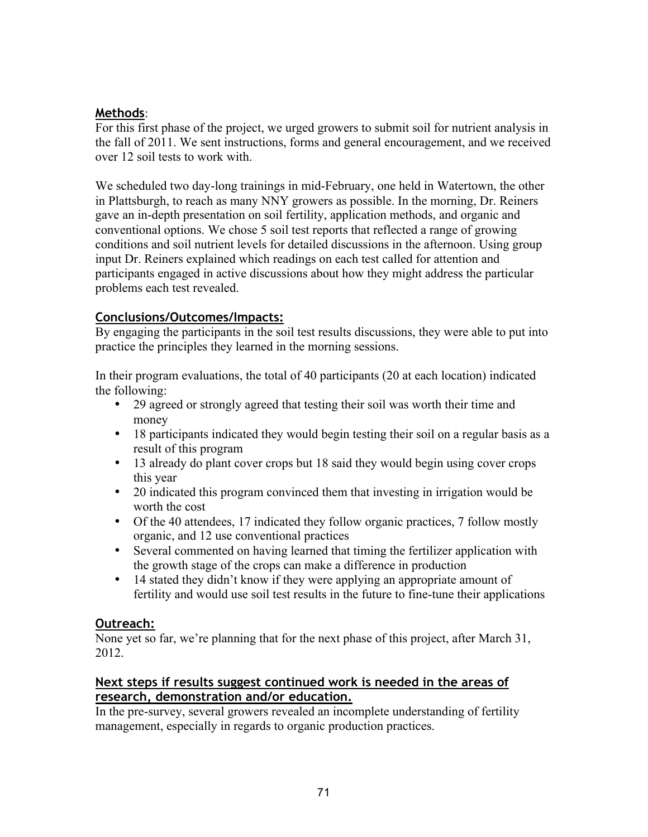# **Methods**:

For this first phase of the project, we urged growers to submit soil for nutrient analysis in the fall of 2011. We sent instructions, forms and general encouragement, and we received over 12 soil tests to work with.

We scheduled two day-long trainings in mid-February, one held in Watertown, the other in Plattsburgh, to reach as many NNY growers as possible. In the morning, Dr. Reiners gave an in-depth presentation on soil fertility, application methods, and organic and conventional options. We chose 5 soil test reports that reflected a range of growing conditions and soil nutrient levels for detailed discussions in the afternoon. Using group input Dr. Reiners explained which readings on each test called for attention and participants engaged in active discussions about how they might address the particular problems each test revealed.

# **Conclusions/Outcomes/Impacts:**

By engaging the participants in the soil test results discussions, they were able to put into practice the principles they learned in the morning sessions.

In their program evaluations, the total of 40 participants (20 at each location) indicated the following:

- 29 agreed or strongly agreed that testing their soil was worth their time and money
- 18 participants indicated they would begin testing their soil on a regular basis as a result of this program
- 13 already do plant cover crops but 18 said they would begin using cover crops this year
- 20 indicated this program convinced them that investing in irrigation would be worth the cost
- Of the 40 attendees, 17 indicated they follow organic practices, 7 follow mostly organic, and 12 use conventional practices
- Several commented on having learned that timing the fertilizer application with the growth stage of the crops can make a difference in production
- 14 stated they didn't know if they were applying an appropriate amount of fertility and would use soil test results in the future to fine-tune their applications

## **Outreach:**

None yet so far, we're planning that for the next phase of this project, after March 31, 2012.

# **Next steps if results suggest continued work is needed in the areas of research, demonstration and/or education.**

In the pre-survey, several growers revealed an incomplete understanding of fertility management, especially in regards to organic production practices.